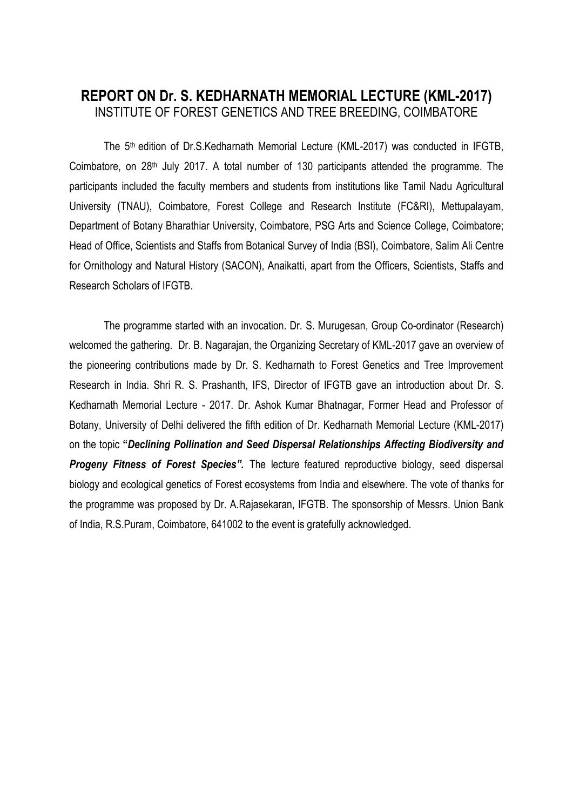## **REPORT ON Dr. S. KEDHARNATH MEMORIAL LECTURE (KML-2017)** INSTITUTE OF FOREST GENETICS AND TREE BREEDING, COIMBATORE

The 5 th edition of Dr.S.Kedharnath Memorial Lecture (KML-2017) was conducted in IFGTB, Coimbatore, on  $28<sup>th</sup>$  July 2017. A total number of 130 participants attended the programme. The participants included the faculty members and students from institutions like Tamil Nadu Agricultural University (TNAU), Coimbatore, Forest College and Research Institute (FC&RI), Mettupalayam, Department of Botany Bharathiar University, Coimbatore, PSG Arts and Science College, Coimbatore; Head of Office, Scientists and Staffs from Botanical Survey of India (BSI), Coimbatore, Salim Ali Centre for Ornithology and Natural History (SACON), Anaikatti, apart from the Officers, Scientists, Staffs and Research Scholars of IFGTB.

The programme started with an invocation. Dr. S. Murugesan, Group Co-ordinator (Research) welcomed the gathering. Dr. B. Nagarajan, the Organizing Secretary of KML-2017 gave an overview of the pioneering contributions made by Dr. S. Kedharnath to Forest Genetics and Tree Improvement Research in India. Shri R. S. Prashanth, IFS, Director of IFGTB gave an introduction about Dr. S. Kedharnath Memorial Lecture - 2017. Dr. Ashok Kumar Bhatnagar, Former Head and Professor of Botany, University of Delhi delivered the fifth edition of Dr. Kedharnath Memorial Lecture (KML-2017) on the topic **"***Declining Pollination and Seed Dispersal Relationships Affecting Biodiversity and Progeny Fitness of Forest Species".* The lecture featured reproductive biology, seed dispersal biology and ecological genetics of Forest ecosystems from India and elsewhere. The vote of thanks for the programme was proposed by Dr. A.Rajasekaran, IFGTB. The sponsorship of Messrs. Union Bank of India, R.S.Puram, Coimbatore, 641002 to the event is gratefully acknowledged.